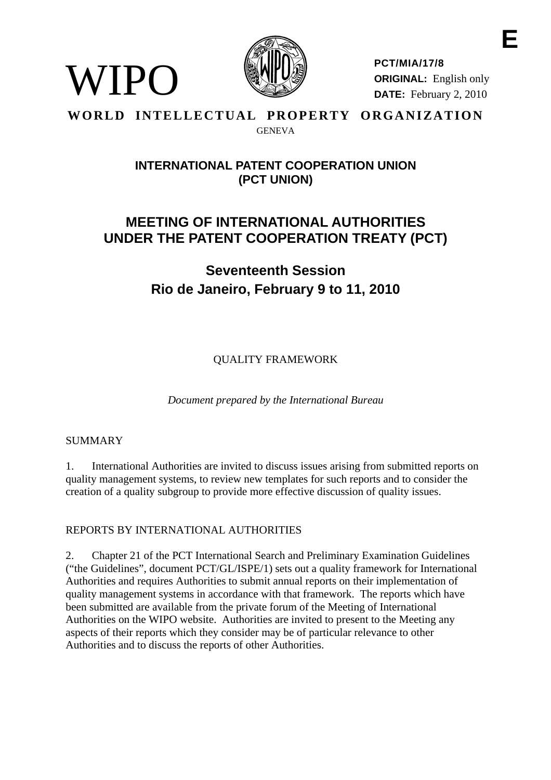

**PCT/MIA/17/8 ORIGINAL:** English only **DATE:** February 2, 2010

# **WORLD INTELLECTUAL PROPERTY ORGANIZATION GENEVA**

# **INTERNATIONAL PATENT COOPERATION UNION (PCT UNION)**

# **MEETING OF INTERNATIONAL AUTHORITIES UNDER THE PATENT COOPERATION TREATY (PCT)**

**Seventeenth Session Rio de Janeiro, February 9 to 11, 2010** 

QUALITY FRAMEWORK

*Document prepared by the International Bureau* 

# SUMMARY

WIPO

1. International Authorities are invited to discuss issues arising from submitted reports on quality management systems, to review new templates for such reports and to consider the creation of a quality subgroup to provide more effective discussion of quality issues.

# REPORTS BY INTERNATIONAL AUTHORITIES

2. Chapter 21 of the PCT International Search and Preliminary Examination Guidelines ("the Guidelines", document PCT/GL/ISPE/1) sets out a quality framework for International Authorities and requires Authorities to submit annual reports on their implementation of quality management systems in accordance with that framework. The reports which have been submitted are available from the private forum of the Meeting of International Authorities on the WIPO website. Authorities are invited to present to the Meeting any aspects of their reports which they consider may be of particular relevance to other Authorities and to discuss the reports of other Authorities.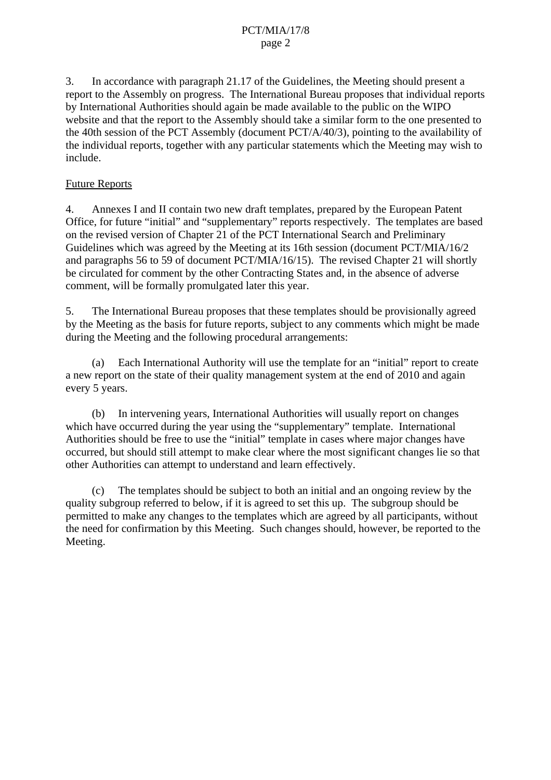# PCT/MIA/17/8 page 2

3. In accordance with paragraph 21.17 of the Guidelines, the Meeting should present a report to the Assembly on progress. The International Bureau proposes that individual reports by International Authorities should again be made available to the public on the WIPO website and that the report to the Assembly should take a similar form to the one presented to the 40th session of the PCT Assembly (document PCT/A/40/3), pointing to the availability of the individual reports, together with any particular statements which the Meeting may wish to include.

# Future Reports

4. Annexes I and II contain two new draft templates, prepared by the European Patent Office, for future "initial" and "supplementary" reports respectively. The templates are based on the revised version of Chapter 21 of the PCT International Search and Preliminary Guidelines which was agreed by the Meeting at its 16th session (document PCT/MIA/16/2 and paragraphs 56 to 59 of document PCT/MIA/16/15). The revised Chapter 21 will shortly be circulated for comment by the other Contracting States and, in the absence of adverse comment, will be formally promulgated later this year.

5. The International Bureau proposes that these templates should be provisionally agreed by the Meeting as the basis for future reports, subject to any comments which might be made during the Meeting and the following procedural arrangements:

 (a) Each International Authority will use the template for an "initial" report to create a new report on the state of their quality management system at the end of 2010 and again every 5 years.

 (b) In intervening years, International Authorities will usually report on changes which have occurred during the year using the "supplementary" template. International Authorities should be free to use the "initial" template in cases where major changes have occurred, but should still attempt to make clear where the most significant changes lie so that other Authorities can attempt to understand and learn effectively.

 (c) The templates should be subject to both an initial and an ongoing review by the quality subgroup referred to below, if it is agreed to set this up. The subgroup should be permitted to make any changes to the templates which are agreed by all participants, without the need for confirmation by this Meeting. Such changes should, however, be reported to the Meeting.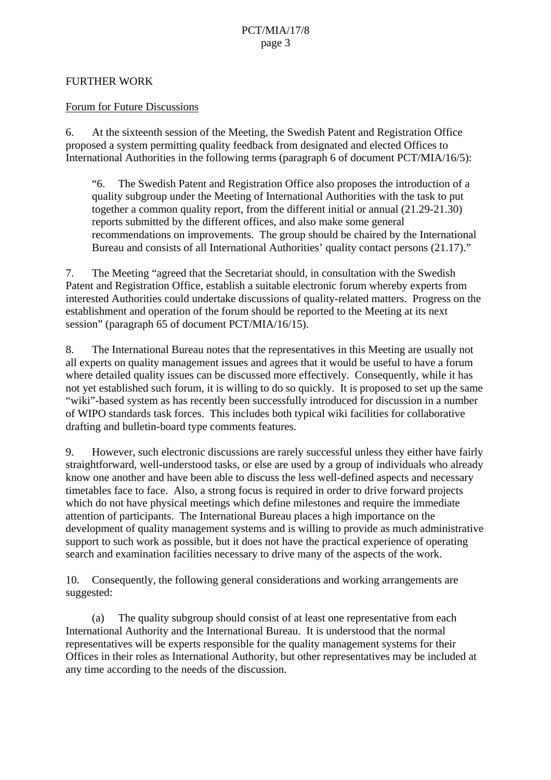# FURTHER WORK

# Forum for Future Discussions

6. At the sixteenth session of the Meeting, the Swedish Patent and Registration Office proposed a system permitting quality feedback from designated and elected Offices to International Authorities in the following terms (paragraph 6 of document PCT/MIA/16/5):

"6. The Swedish Patent and Registration Office also proposes the introduction of a quality subgroup under the Meeting of International Authorities with the task to put together a common quality report, from the different initial or annual (21.29-21.30) reports submitted by the different offices, and also make some general recommendations on improvements. The group should be chaired by the International Bureau and consists of all International Authorities' quality contact persons (21.17)."

7. The Meeting "agreed that the Secretariat should, in consultation with the Swedish Patent and Registration Office, establish a suitable electronic forum whereby experts from interested Authorities could undertake discussions of quality-related matters. Progress on the establishment and operation of the forum should be reported to the Meeting at its next session" (paragraph 65 of document PCT/MIA/16/15).

<span id="page-2-0"></span>8. The International Bureau notes that the representatives in this Meeting are usually not all experts on quality management issues and agrees that it would be useful to have a forum where detailed quality issues can be discussed more effectively. Consequently, while it has not yet established such forum, it is willing to do so quickly. It is proposed to set up the same "wiki"-based system as has recently been successfully introduced for discussion in a number of WIPO standards task forces. This includes both typical wiki facilities for collaborative drafting and bulletin-board type comments features.

9. However, such electronic discussions are rarely successful unless they either have fairly straightforward, well-understood tasks, or else are used by a group of individuals who already know one another and have been able to discuss the less well-defined aspects and necessary timetables face to face. Also, a strong focus is required in order to drive forward projects which do not have physical meetings which define milestones and require the immediate attention of participants. The International Bureau places a high importance on the development of quality management systems and is willing to provide as much administrative support to such work as possible, but it does not have the practical experience of operating search and examination facilities necessary to drive many of the aspects of the work.

10. Consequently, the following general considerations and working arrangements are suggested:

 (a) The quality subgroup should consist of at least one representative from each International Authority and the International Bureau. It is understood that the normal representatives will be experts responsible for the quality management systems for their Offices in their roles as International Authority, but other representatives may be included at any time according to the needs of the discussion.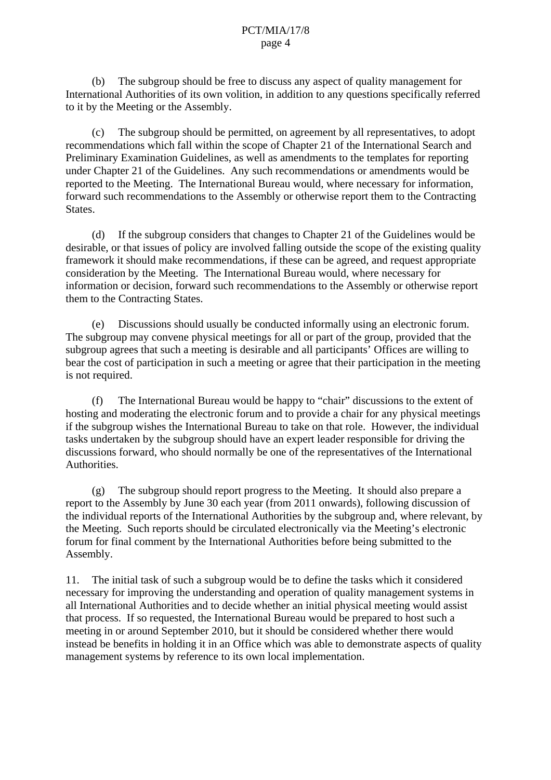(b) The subgroup should be free to discuss any aspect of quality management for International Authorities of its own volition, in addition to any questions specifically referred to it by the Meeting or the Assembly.

 (c) The subgroup should be permitted, on agreement by all representatives, to adopt recommendations which fall within the scope of Chapter 21 of the International Search and Preliminary Examination Guidelines, as well as amendments to the templates for reporting under Chapter 21 of the Guidelines. Any such recommendations or amendments would be reported to the Meeting. The International Bureau would, where necessary for information, forward such recommendations to the Assembly or otherwise report them to the Contracting States.

 (d) If the subgroup considers that changes to Chapter 21 of the Guidelines would be desirable, or that issues of policy are involved falling outside the scope of the existing quality framework it should make recommendations, if these can be agreed, and request appropriate consideration by the Meeting. The International Bureau would, where necessary for information or decision, forward such recommendations to the Assembly or otherwise report them to the Contracting States.

 (e) Discussions should usually be conducted informally using an electronic forum. The subgroup may convene physical meetings for all or part of the group, provided that the subgroup agrees that such a meeting is desirable and all participants' Offices are willing to bear the cost of participation in such a meeting or agree that their participation in the meeting is not required.

 (f) The International Bureau would be happy to "chair" discussions to the extent of hosting and moderating the electronic forum and to provide a chair for any physical meetings if the subgroup wishes the International Bureau to take on that role. However, the individual tasks undertaken by the subgroup should have an expert leader responsible for driving the discussions forward, who should normally be one of the representatives of the International Authorities.

 (g) The subgroup should report progress to the Meeting. It should also prepare a report to the Assembly by June 30 each year (from 2011 onwards), following discussion of the individual reports of the International Authorities by the subgroup and, where relevant, by the Meeting. Such reports should be circulated electronically via the Meeting's electronic forum for final comment by the International Authorities before being submitted to the Assembly.

<span id="page-3-0"></span>11. The initial task of such a subgroup would be to define the tasks which it considered necessary for improving the understanding and operation of quality management systems in all International Authorities and to decide whether an initial physical meeting would assist that process. If so requested, the International Bureau would be prepared to host such a meeting in or around September 2010, but it should be considered whether there would instead be benefits in holding it in an Office which was able to demonstrate aspects of quality management systems by reference to its own local implementation.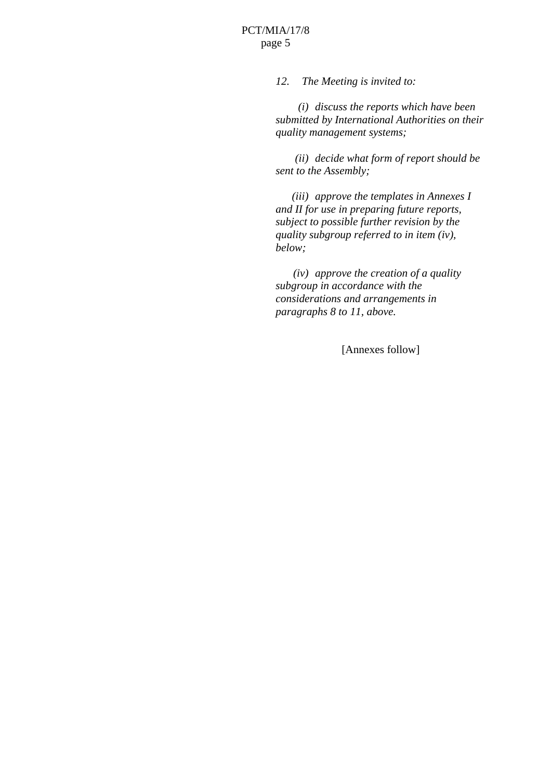# PCT/MIA/17/8 page 5

*12. The Meeting is invited to:* 

 *(i) discuss the reports which have been submitted by International Authorities on their quality management systems;* 

 *(ii) decide what form of report should be sent to the Assembly;* 

 *(iii) approve the templates in Annexes I and II for use in preparing future reports, subject to possible further revision by the quality subgroup referred to in item [\(iv\),](#page-4-0) below;* 

<span id="page-4-0"></span> *(iv) approve the creation of a quality subgroup in accordance with the considerations and arrangements in paragraphs [8](#page-2-0) to [11](#page-3-0), above.* 

[Annexes follow]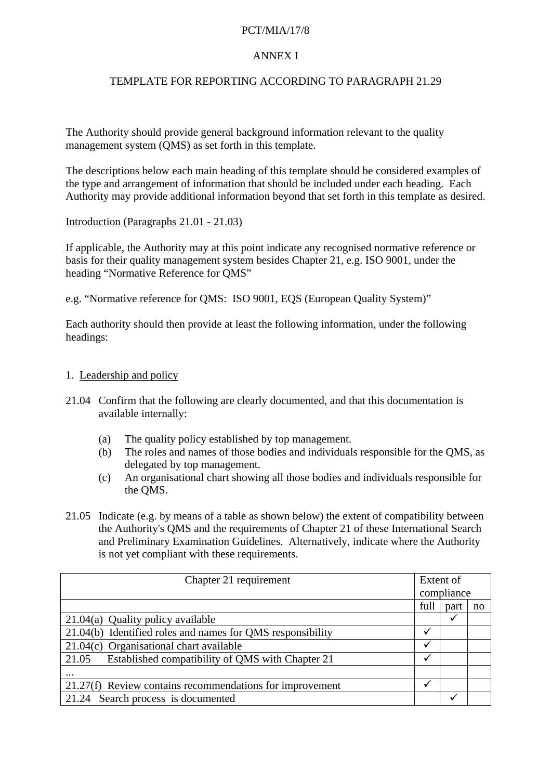# PCT/MIA/17/8

# ANNEX I

# TEMPLATE FOR REPORTING ACCORDING TO PARAGRAPH 21.29

The Authority should provide general background information relevant to the quality management system (QMS) as set forth in this template.

The descriptions below each main heading of this template should be considered examples of the type and arrangement of information that should be included under each heading. Each Authority may provide additional information beyond that set forth in this template as desired.

#### Introduction (Paragraphs 21.01 - 21.03)

If applicable, the Authority may at this point indicate any recognised normative reference or basis for their quality management system besides Chapter 21, e.g. ISO 9001, under the heading "Normative Reference for QMS"

e.g. "Normative reference for QMS: ISO 9001, EQS (European Quality System)"

Each authority should then provide at least the following information, under the following headings:

#### 1. Leadership and policy

- 21.04 Confirm that the following are clearly documented, and that this documentation is available internally:
	- (a) The quality policy established by top management.
	- (b) The roles and names of those bodies and individuals responsible for the QMS, as delegated by top management.
	- (c) An organisational chart showing all those bodies and individuals responsible for the QMS.
- 21.05 Indicate (e.g. by means of a table as shown below) the extent of compatibility between the Authority's QMS and the requirements of Chapter 21 of these International Search and Preliminary Examination Guidelines. Alternatively, indicate where the Authority is not yet compliant with these requirements.

| Chapter 21 requirement                                     | Extent of  |              |    |
|------------------------------------------------------------|------------|--------------|----|
|                                                            | compliance |              |    |
|                                                            | full       | part         | no |
| $21.04(a)$ Quality policy available                        |            | ✔            |    |
| 21.04(b) Identified roles and names for QMS responsibility |            |              |    |
| 21.04(c) Organisational chart available                    | ✓          |              |    |
| Established compatibility of QMS with Chapter 21<br>21.05  | ✓          |              |    |
| $\cdots$                                                   |            |              |    |
| 21.27(f) Review contains recommendations for improvement   |            |              |    |
| 21.24 Search process is documented                         |            | $\checkmark$ |    |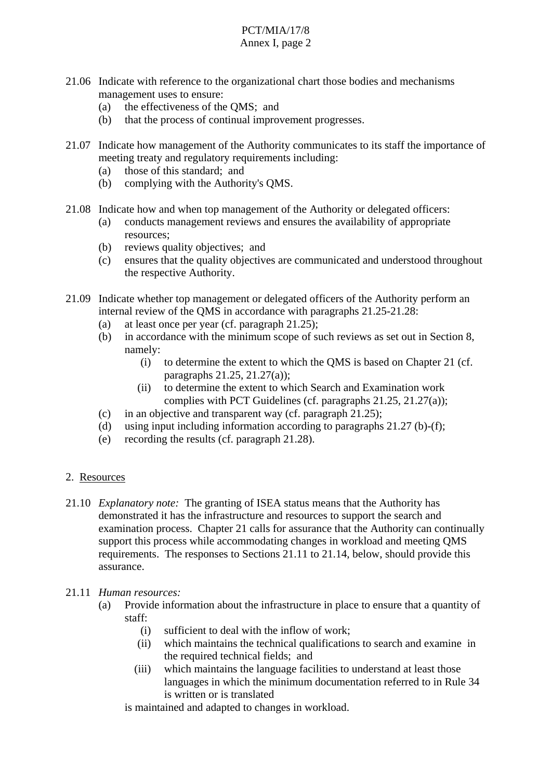- 21.06 Indicate with reference to the organizational chart those bodies and mechanisms management uses to ensure:
	- (a) the effectiveness of the QMS; and
	- (b) that the process of continual improvement progresses.
- 21.07 Indicate how management of the Authority communicates to its staff the importance of meeting treaty and regulatory requirements including:
	- (a) those of this standard; and
	- (b) complying with the Authority's QMS.
- 21.08 Indicate how and when top management of the Authority or delegated officers:
	- (a) conducts management reviews and ensures the availability of appropriate resources;
	- (b) reviews quality objectives; and
	- (c) ensures that the quality objectives are communicated and understood throughout the respective Authority.
- 21.09 Indicate whether top management or delegated officers of the Authority perform an internal review of the QMS in accordance with paragraphs 21.25-21.28:
	- (a) at least once per year (cf. paragraph 21.25);
	- (b) in accordance with the minimum scope of such reviews as set out in Section 8, namely:
		- (i) to determine the extent to which the QMS is based on Chapter 21 (cf. paragraphs 21.25, 21.27(a));
		- (ii) to determine the extent to which Search and Examination work complies with PCT Guidelines (cf. paragraphs 21.25, 21.27(a));
	- (c) in an objective and transparent way (cf. paragraph 21.25);
	- (d) using input including information according to paragraphs  $21.27$  (b)-(f);
	- (e) recording the results (cf. paragraph 21.28).
- 2. Resources
- 21.10 *Explanatory note:* The granting of ISEA status means that the Authority has demonstrated it has the infrastructure and resources to support the search and examination process. Chapter 21 calls for assurance that the Authority can continually support this process while accommodating changes in workload and meeting QMS requirements. The responses to Sections 21.11 to 21.14, below, should provide this assurance.
- 21.11 *Human resources:*
	- (a) Provide information about the infrastructure in place to ensure that a quantity of staff:
		- (i) sufficient to deal with the inflow of work;
		- (ii) which maintains the technical qualifications to search and examine in the required technical fields; and
		- (iii) which maintains the language facilities to understand at least those languages in which the minimum documentation referred to in Rule 34 is written or is translated
		- is maintained and adapted to changes in workload.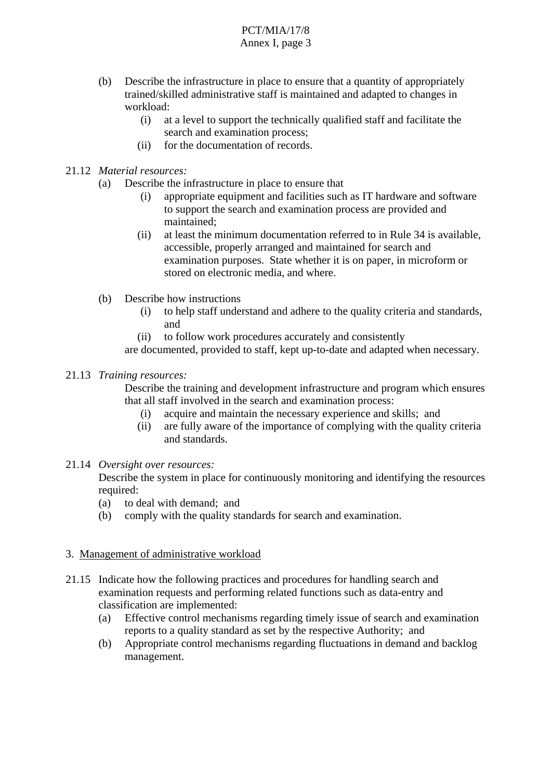- (b) Describe the infrastructure in place to ensure that a quantity of appropriately trained/skilled administrative staff is maintained and adapted to changes in workload:
	- (i) at a level to support the technically qualified staff and facilitate the search and examination process;
	- (ii) for the documentation of records.
- 21.12 *Material resources:*
	- (a) Describe the infrastructure in place to ensure that
		- (i) appropriate equipment and facilities such as IT hardware and software to support the search and examination process are provided and maintained;
		- (ii) at least the minimum documentation referred to in Rule 34 is available, accessible, properly arranged and maintained for search and examination purposes. State whether it is on paper, in microform or stored on electronic media, and where.
	- (b) Describe how instructions
		- (i) to help staff understand and adhere to the quality criteria and standards, and
		- (ii) to follow work procedures accurately and consistently

are documented, provided to staff, kept up-to-date and adapted when necessary.

#### 21.13 *Training resources:*

 Describe the training and development infrastructure and program which ensures that all staff involved in the search and examination process:

- (i) acquire and maintain the necessary experience and skills; and
- (ii) are fully aware of the importance of complying with the quality criteria and standards.

#### 21.14 *Oversight over resources:*

 Describe the system in place for continuously monitoring and identifying the resources required:

- (a) to deal with demand; and
- (b) comply with the quality standards for search and examination.

#### 3. Management of administrative workload

- 21.15 Indicate how the following practices and procedures for handling search and examination requests and performing related functions such as data-entry and classification are implemented:
	- (a) Effective control mechanisms regarding timely issue of search and examination reports to a quality standard as set by the respective Authority; and
	- (b) Appropriate control mechanisms regarding fluctuations in demand and backlog management.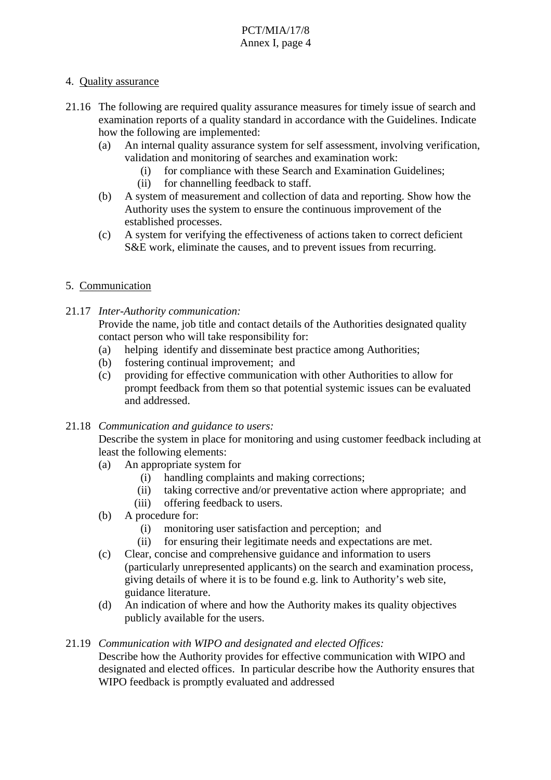# 4. Quality assurance

- 21.16 The following are required quality assurance measures for timely issue of search and examination reports of a quality standard in accordance with the Guidelines. Indicate how the following are implemented:
	- (a) An internal quality assurance system for self assessment, involving verification, validation and monitoring of searches and examination work:
		- (i) for compliance with these Search and Examination Guidelines;
		- (ii) for channelling feedback to staff.
	- (b) A system of measurement and collection of data and reporting. Show how the Authority uses the system to ensure the continuous improvement of the established processes.
	- (c) A system for verifying the effectiveness of actions taken to correct deficient S&E work, eliminate the causes, and to prevent issues from recurring.

# 5. Communication

21.17 *Inter-Authority communication:*

 Provide the name, job title and contact details of the Authorities designated quality contact person who will take responsibility for:

- (a) helping identify and disseminate best practice among Authorities;
- (b) fostering continual improvement; and
- (c) providing for effective communication with other Authorities to allow for prompt feedback from them so that potential systemic issues can be evaluated and addressed.

#### 21.18 *Communication and guidance to users:*

 Describe the system in place for monitoring and using customer feedback including at least the following elements:

- (a) An appropriate system for
	- (i) handling complaints and making corrections;
	- (ii) taking corrective and/or preventative action where appropriate; and
	- (iii) offering feedback to users.
- (b) A procedure for:
	- (i) monitoring user satisfaction and perception; and
	- (ii) for ensuring their legitimate needs and expectations are met.
- (c) Clear, concise and comprehensive guidance and information to users (particularly unrepresented applicants) on the search and examination process, giving details of where it is to be found e.g. link to Authority's web site, guidance literature.
- (d) An indication of where and how the Authority makes its quality objectives publicly available for the users.

#### 21.19 *Communication with WIPO and designated and elected Offices:*

 Describe how the Authority provides for effective communication with WIPO and designated and elected offices. In particular describe how the Authority ensures that WIPO feedback is promptly evaluated and addressed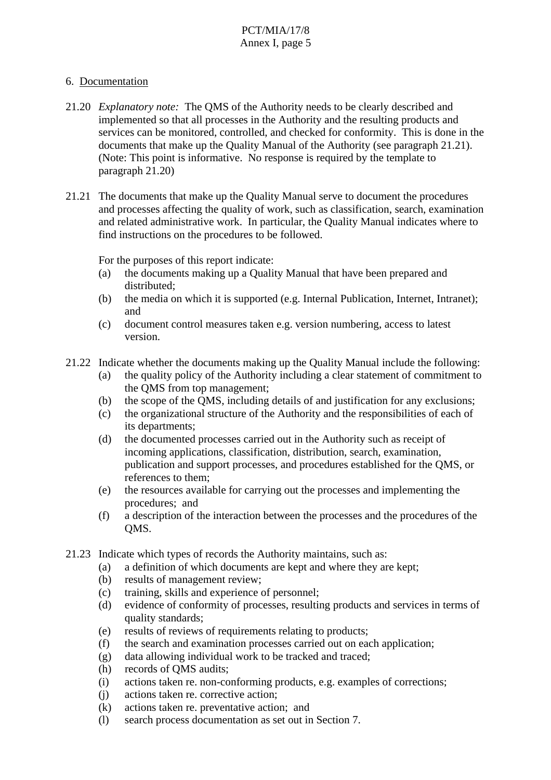# 6. Documentation

- 21.20 *Explanatory note:* The QMS of the Authority needs to be clearly described and implemented so that all processes in the Authority and the resulting products and services can be monitored, controlled, and checked for conformity. This is done in the documents that make up the Quality Manual of the Authority (see paragraph 21.21). (Note: This point is informative. No response is required by the template to paragraph 21.20)
- 21.21 The documents that make up the Quality Manual serve to document the procedures and processes affecting the quality of work, such as classification, search, examination and related administrative work. In particular, the Quality Manual indicates where to find instructions on the procedures to be followed.

For the purposes of this report indicate:

- (a) the documents making up a Quality Manual that have been prepared and distributed;
- (b) the media on which it is supported (e.g. Internal Publication, Internet, Intranet); and
- (c) document control measures taken e.g. version numbering, access to latest version.
- 21.22 Indicate whether the documents making up the Quality Manual include the following:
	- (a) the quality policy of the Authority including a clear statement of commitment to the QMS from top management;
	- (b) the scope of the QMS, including details of and justification for any exclusions;
	- (c) the organizational structure of the Authority and the responsibilities of each of its departments;
	- (d) the documented processes carried out in the Authority such as receipt of incoming applications, classification, distribution, search, examination, publication and support processes, and procedures established for the QMS, or references to them;
	- (e) the resources available for carrying out the processes and implementing the procedures; and
	- (f) a description of the interaction between the processes and the procedures of the QMS.
- 21.23 Indicate which types of records the Authority maintains, such as:
	- (a) a definition of which documents are kept and where they are kept;
	- (b) results of management review;
	- (c) training, skills and experience of personnel;
	- (d) evidence of conformity of processes, resulting products and services in terms of quality standards;
	- (e) results of reviews of requirements relating to products;
	- (f) the search and examination processes carried out on each application;
	- (g) data allowing individual work to be tracked and traced;
	- (h) records of QMS audits;
	- (i) actions taken re. non-conforming products, e.g. examples of corrections;
	- (j) actions taken re. corrective action;
	- (k) actions taken re. preventative action; and
	- (l) search process documentation as set out in Section 7.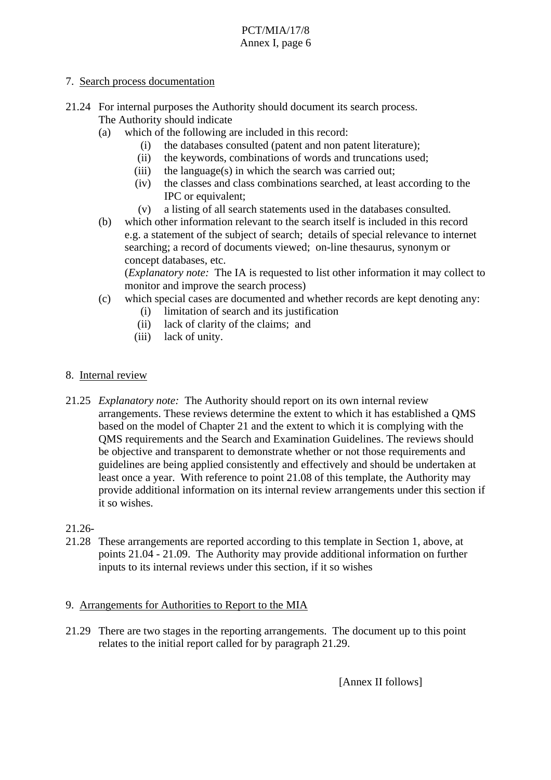# 7. Search process documentation

- 21.24 For internal purposes the Authority should document its search process. The Authority should indicate
	- (a) which of the following are included in this record:
		- (i) the databases consulted (patent and non patent literature);
		- (ii) the keywords, combinations of words and truncations used;
		- $(iii)$  the language $(s)$  in which the search was carried out;
		- (iv) the classes and class combinations searched, at least according to the IPC or equivalent;
		- (v) a listing of all search statements used in the databases consulted.
	- (b) which other information relevant to the search itself is included in this record e.g. a statement of the subject of search; details of special relevance to internet searching; a record of documents viewed; on-line thesaurus, synonym or concept databases, etc.

 (*Explanatory note:* The IA is requested to list other information it may collect to monitor and improve the search process)

- (c) which special cases are documented and whether records are kept denoting any:
	- (i) limitation of search and its justification
	- (ii) lack of clarity of the claims; and
	- (iii) lack of unity.
- 8. Internal review
- 21.25 *Explanatory note:* The Authority should report on its own internal review arrangements. These reviews determine the extent to which it has established a QMS based on the model of Chapter 21 and the extent to which it is complying with the QMS requirements and the Search and Examination Guidelines. The reviews should be objective and transparent to demonstrate whether or not those requirements and guidelines are being applied consistently and effectively and should be undertaken at least once a year. With reference to point 21.08 of this template, the Authority may provide additional information on its internal review arrangements under this section if it so wishes.

# 21.26-

21.28 These arrangements are reported according to this template in Section 1, above, at points 21.04 - 21.09. The Authority may provide additional information on further inputs to its internal reviews under this section, if it so wishes

# 9. Arrangements for Authorities to Report to the MIA

21.29 There are two stages in the reporting arrangements. The document up to this point relates to the initial report called for by paragraph 21.29.

[Annex II follows]